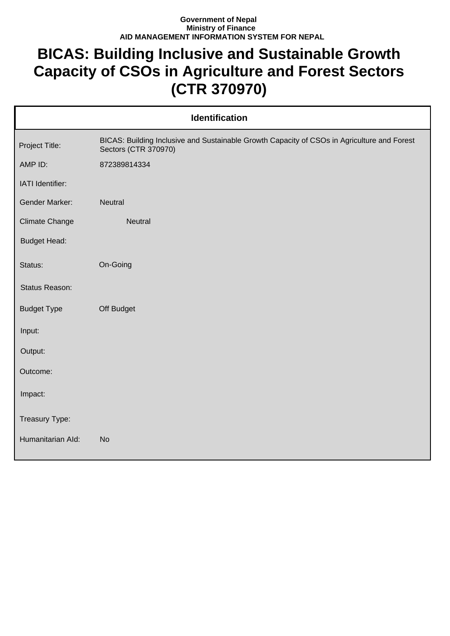## **Government of Nepal Ministry of Finance AID MANAGEMENT INFORMATION SYSTEM FOR NEPAL**

## **BICAS: Building Inclusive and Sustainable Growth Capacity of CSOs in Agriculture and Forest Sectors (CTR 370970)**

| <b>Identification</b> |                                                                                                                     |  |  |
|-----------------------|---------------------------------------------------------------------------------------------------------------------|--|--|
| Project Title:        | BICAS: Building Inclusive and Sustainable Growth Capacity of CSOs in Agriculture and Forest<br>Sectors (CTR 370970) |  |  |
| AMP ID:               | 872389814334                                                                                                        |  |  |
| IATI Identifier:      |                                                                                                                     |  |  |
| Gender Marker:        | <b>Neutral</b>                                                                                                      |  |  |
| Climate Change        | <b>Neutral</b>                                                                                                      |  |  |
| <b>Budget Head:</b>   |                                                                                                                     |  |  |
| Status:               | On-Going                                                                                                            |  |  |
| Status Reason:        |                                                                                                                     |  |  |
| <b>Budget Type</b>    | Off Budget                                                                                                          |  |  |
| Input:                |                                                                                                                     |  |  |
| Output:               |                                                                                                                     |  |  |
| Outcome:              |                                                                                                                     |  |  |
| Impact:               |                                                                                                                     |  |  |
| Treasury Type:        |                                                                                                                     |  |  |
| Humanitarian Ald:     | <b>No</b>                                                                                                           |  |  |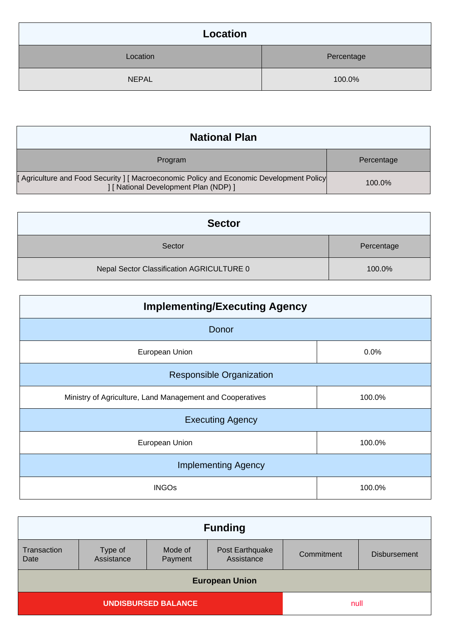| Location     |            |  |
|--------------|------------|--|
| Location     | Percentage |  |
| <b>NEPAL</b> | 100.0%     |  |

| <b>National Plan</b>                                                                                                             |            |  |
|----------------------------------------------------------------------------------------------------------------------------------|------------|--|
| Program                                                                                                                          | Percentage |  |
| [Agriculture and Food Security ] [ Macroeconomic Policy and Economic Development Policy<br>  [ National Development Plan (NDP) ] | 100.0%     |  |

| <b>Sector</b>                             |            |  |
|-------------------------------------------|------------|--|
| Sector                                    | Percentage |  |
| Nepal Sector Classification AGRICULTURE 0 | 100.0%     |  |

| <b>Implementing/Executing Agency</b>                      |        |  |
|-----------------------------------------------------------|--------|--|
| Donor                                                     |        |  |
| European Union                                            | 0.0%   |  |
| <b>Responsible Organization</b>                           |        |  |
| Ministry of Agriculture, Land Management and Cooperatives | 100.0% |  |
| <b>Executing Agency</b>                                   |        |  |
| European Union                                            | 100.0% |  |
| <b>Implementing Agency</b>                                |        |  |
| <b>INGOs</b>                                              | 100.0% |  |

| <b>Funding</b>             |                       |                    |                               |            |                     |
|----------------------------|-----------------------|--------------------|-------------------------------|------------|---------------------|
| Transaction<br>Date        | Type of<br>Assistance | Mode of<br>Payment | Post Earthquake<br>Assistance | Commitment | <b>Disbursement</b> |
| <b>European Union</b>      |                       |                    |                               |            |                     |
| <b>UNDISBURSED BALANCE</b> |                       |                    | null                          |            |                     |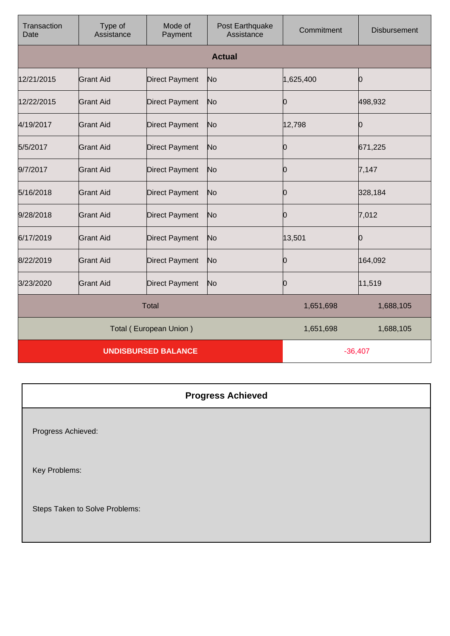| Transaction<br>Date    | Type of<br>Assistance      | Mode of<br>Payment    | Post Earthquake<br>Assistance | Commitment | <b>Disbursement</b> |
|------------------------|----------------------------|-----------------------|-------------------------------|------------|---------------------|
|                        |                            |                       | <b>Actual</b>                 |            |                     |
| 12/21/2015             | <b>Grant Aid</b>           | <b>Direct Payment</b> | No                            | 1,625,400  | Ю                   |
| 12/22/2015             | Grant Aid                  | <b>Direct Payment</b> | No                            | Ю          | 498,932             |
| 4/19/2017              | <b>Grant Aid</b>           | <b>Direct Payment</b> | No                            | 12,798     | 0                   |
| 5/5/2017               | Grant Aid                  | <b>Direct Payment</b> | No                            | Ю          | 671,225             |
| 9/7/2017               | <b>Grant Aid</b>           | <b>Direct Payment</b> | No                            | Ю          | 7,147               |
| 5/16/2018              | <b>Grant Aid</b>           | Direct Payment        | No                            | Ю          | 328,184             |
| 9/28/2018              | <b>Grant Aid</b>           | <b>Direct Payment</b> | No                            | Ŋ          | 7,012               |
| 6/17/2019              | <b>Grant Aid</b>           | <b>Direct Payment</b> | No                            | 13,501     | Ю                   |
| 8/22/2019              | <b>Grant Aid</b>           | <b>Direct Payment</b> | No                            | Ŋ          | 164,092             |
| 3/23/2020              | <b>Grant Aid</b>           | <b>Direct Payment</b> | No                            | Ю          | 11,519              |
| <b>Total</b>           |                            |                       | 1,651,698                     | 1,688,105  |                     |
| Total (European Union) |                            |                       | 1,651,698                     | 1,688,105  |                     |
|                        | <b>UNDISBURSED BALANCE</b> |                       |                               | $-36,407$  |                     |

**Progress Achieved** Progress Achieved: Key Problems: Steps Taken to Solve Problems: